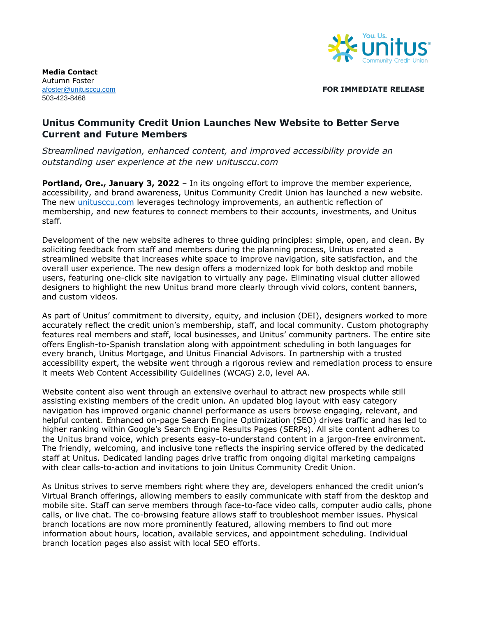

**Media Contact**  Autumn Foster 503-423-8468

[afoster@unitusccu.com](mailto:afoster@unitusccu.com) **FOR IMMEDIATE RELEASE**

## **Unitus Community Credit Union Launches New Website to Better Serve Current and Future Members**

*Streamlined navigation, enhanced content, and improved accessibility provide an outstanding user experience at the new unitusccu.com*

**Portland, Ore., January 3, 2022** - In its ongoing effort to improve the member experience, accessibility, and brand awareness, Unitus Community Credit Union has launched a new website. The new *unitusccu.com* leverages technology improvements, an authentic reflection of membership, and new features to connect members to their accounts, investments, and Unitus staff.

Development of the new website adheres to three guiding principles: simple, open, and clean. By soliciting feedback from staff and members during the planning process, Unitus created a streamlined website that increases white space to improve navigation, site satisfaction, and the overall user experience. The new design offers a modernized look for both desktop and mobile users, featuring one-click site navigation to virtually any page. Eliminating visual clutter allowed designers to highlight the new Unitus brand more clearly through vivid colors, content banners, and custom videos.

As part of Unitus' commitment to diversity, equity, and inclusion (DEI), designers worked to more accurately reflect the credit union's membership, staff, and local community. Custom photography features real members and staff, local businesses, and Unitus' community partners. The entire site offers English-to-Spanish translation along with appointment scheduling in both languages for every branch, Unitus Mortgage, and Unitus Financial Advisors. In partnership with a trusted accessibility expert, the website went through a rigorous review and remediation process to ensure it meets Web Content Accessibility Guidelines (WCAG) 2.0, level AA.

Website content also went through an extensive overhaul to attract new prospects while still assisting existing members of the credit union. An updated blog layout with easy category navigation has improved organic channel performance as users browse engaging, relevant, and helpful content. Enhanced on-page Search Engine Optimization (SEO) drives traffic and has led to higher ranking within Google's Search Engine Results Pages (SERPs). All site content adheres to the Unitus brand voice, which presents easy-to-understand content in a jargon-free environment. The friendly, welcoming, and inclusive tone reflects the inspiring service offered by the dedicated staff at Unitus. Dedicated landing pages drive traffic from ongoing digital marketing campaigns with clear calls-to-action and invitations to join Unitus Community Credit Union.

As Unitus strives to serve members right where they are, developers enhanced the credit union's Virtual Branch offerings, allowing members to easily communicate with staff from the desktop and mobile site. Staff can serve members through face-to-face video calls, computer audio calls, phone calls, or live chat. The co-browsing feature allows staff to troubleshoot member issues. Physical branch locations are now more prominently featured, allowing members to find out more information about hours, location, available services, and appointment scheduling. Individual branch location pages also assist with local SEO efforts.